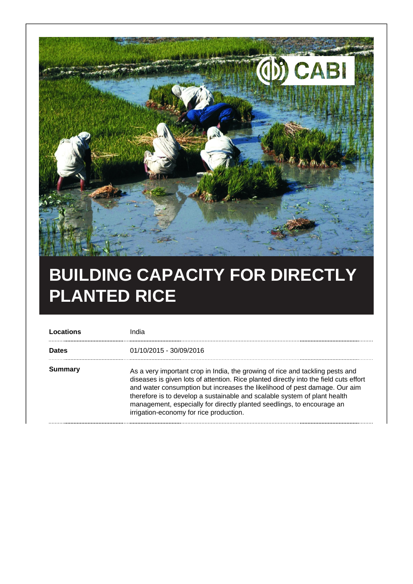

## **BUILDING CAPACITY FOR DIRECTLY PLANTED RICE**

| 01/10/2015 - 30/09/2016<br><b>Dates</b>            |                                                                                                                                                                                                                                                                                                                                                                                                             |
|----------------------------------------------------|-------------------------------------------------------------------------------------------------------------------------------------------------------------------------------------------------------------------------------------------------------------------------------------------------------------------------------------------------------------------------------------------------------------|
|                                                    |                                                                                                                                                                                                                                                                                                                                                                                                             |
| Summary<br>irrigation-economy for rice production. | As a very important crop in India, the growing of rice and tackling pests and<br>diseases is given lots of attention. Rice planted directly into the field cuts effort<br>and water consumption but increases the likelihood of pest damage. Our aim<br>therefore is to develop a sustainable and scalable system of plant health<br>management, especially for directly planted seedlings, to encourage an |